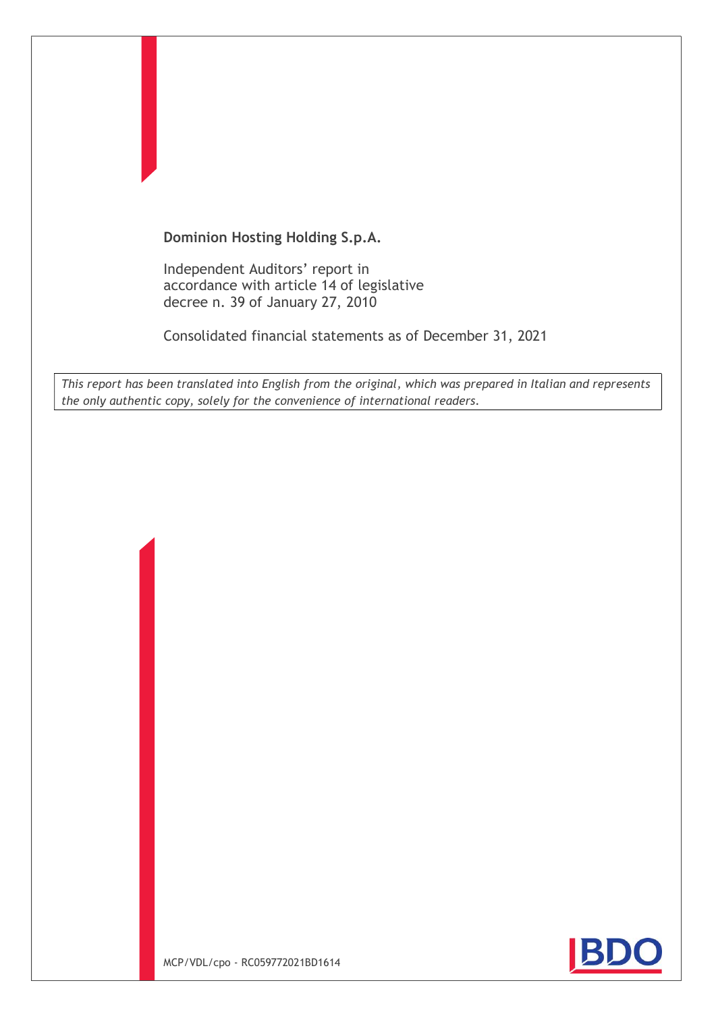# Dominion Hosting Holding S.p.A.

Independent Auditors' report in accordance with article 14 of legislative decree n. 39 of January 27, 2010

Consolidated financial statements as of December 31, 2021

This report has been translated into English from the original, which was prepared in Italian and represents the only authentic copy, solely for the convenience of international readers.

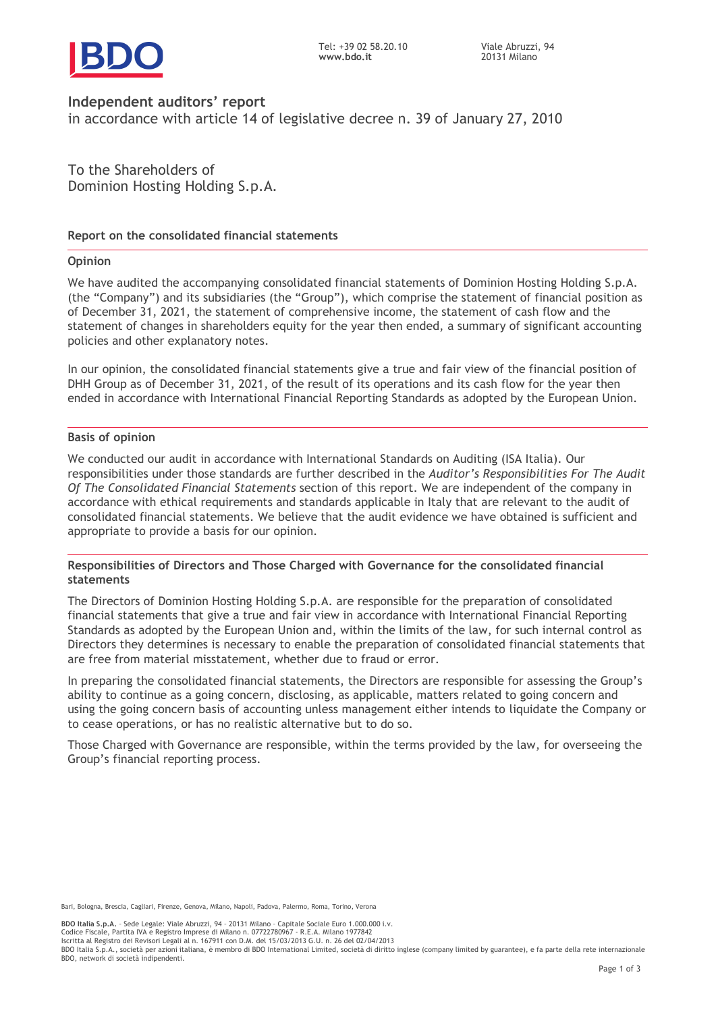



# Independent auditors' report

in accordance with article 14 of legislative decree n. 39 of January 27, 2010

To the Shareholders of Dominion Hosting Holding S.p.A.

# Report on the consolidated financial statements

# **Opinion**

We have audited the accompanying consolidated financial statements of Dominion Hosting Holding S.p.A. (the "Company") and its subsidiaries (the "Group"), which comprise the statement of financial position as of December 31, 2021, the statement of comprehensive income, the statement of cash flow and the statement of changes in shareholders equity for the year then ended, a summary of significant accounting policies and other explanatory notes.

In our opinion, the consolidated financial statements give a true and fair view of the financial position of DHH Group as of December 31, 2021, of the result of its operations and its cash flow for the year then ended in accordance with International Financial Reporting Standards as adopted by the European Union.

#### Basis of opinion

We conducted our audit in accordance with International Standards on Auditing (ISA Italia). Our responsibilities under those standards are further described in the Auditor's Responsibilities For The Audit Of The Consolidated Financial Statements section of this report. We are independent of the company in accordance with ethical requirements and standards applicable in Italy that are relevant to the audit of consolidated financial statements. We believe that the audit evidence we have obtained is sufficient and appropriate to provide a basis for our opinion.

#### Responsibilities of Directors and Those Charged with Governance for the consolidated financial statements

The Directors of Dominion Hosting Holding S.p.A. are responsible for the preparation of consolidated financial statements that give a true and fair view in accordance with International Financial Reporting Standards as adopted by the European Union and, within the limits of the law, for such internal control as Directors they determines is necessary to enable the preparation of consolidated financial statements that are free from material misstatement, whether due to fraud or error.

In preparing the consolidated financial statements, the Directors are responsible for assessing the Group's ability to continue as a going concern, disclosing, as applicable, matters related to going concern and using the going concern basis of accounting unless management either intends to liquidate the Company or to cease operations, or has no realistic alternative but to do so.

Those Charged with Governance are responsible, within the terms provided by the law, for overseeing the Group's financial reporting process.

Bari, Bologna, Brescia, Cagliari, Firenze, Genova, Milano, Napoli, Padova, Palermo, Roma, Torino, Verona

BDO Italia S.p.A. - Sede Legale: Viale Abruzzi, 94 - 20131 Milano - Capitale Sociale Euro 1.000.000 i.v.

Codice Fiscale, Partita IVA e Registro Imprese di Milano n. 07722780967 - R.E.A. Milano 1977842 Iscritta al Registro dei Revisori Legali al n. 167911 con D.M. del 15/03/2013 G.U. n. 26 del 02/04/2013

BDO Italia S.p.A., società per azioni italiana, è membro di BDO International Limited, società di diritto inglese (company limited by guarantee), e fa parte della rete internazionale BDO, network di società indipendenti.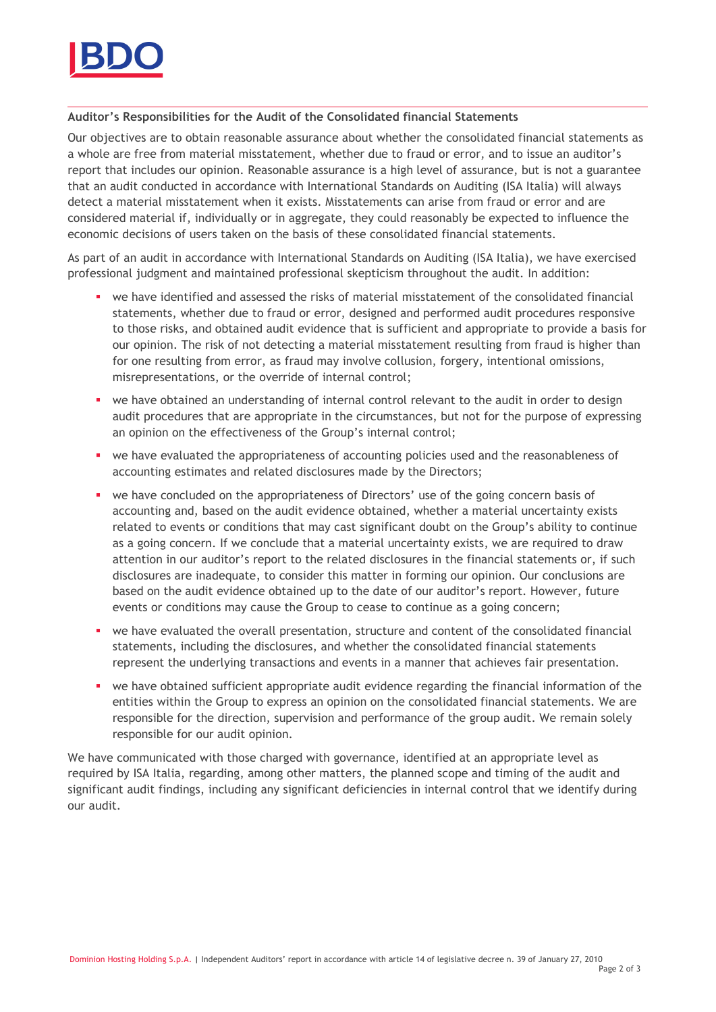

# Auditor's Responsibilities for the Audit of the Consolidated financial Statements

Our objectives are to obtain reasonable assurance about whether the consolidated financial statements as a whole are free from material misstatement, whether due to fraud or error, and to issue an auditor's report that includes our opinion. Reasonable assurance is a high level of assurance, but is not a guarantee that an audit conducted in accordance with International Standards on Auditing (ISA Italia) will always detect a material misstatement when it exists. Misstatements can arise from fraud or error and are considered material if, individually or in aggregate, they could reasonably be expected to influence the economic decisions of users taken on the basis of these consolidated financial statements.

As part of an audit in accordance with International Standards on Auditing (ISA Italia), we have exercised professional judgment and maintained professional skepticism throughout the audit. In addition:

- we have identified and assessed the risks of material misstatement of the consolidated financial statements, whether due to fraud or error, designed and performed audit procedures responsive to those risks, and obtained audit evidence that is sufficient and appropriate to provide a basis for our opinion. The risk of not detecting a material misstatement resulting from fraud is higher than for one resulting from error, as fraud may involve collusion, forgery, intentional omissions, misrepresentations, or the override of internal control;
- we have obtained an understanding of internal control relevant to the audit in order to design audit procedures that are appropriate in the circumstances, but not for the purpose of expressing an opinion on the effectiveness of the Group's internal control;
- we have evaluated the appropriateness of accounting policies used and the reasonableness of accounting estimates and related disclosures made by the Directors;
- we have concluded on the appropriateness of Directors' use of the going concern basis of accounting and, based on the audit evidence obtained, whether a material uncertainty exists related to events or conditions that may cast significant doubt on the Group's ability to continue as a going concern. If we conclude that a material uncertainty exists, we are required to draw attention in our auditor's report to the related disclosures in the financial statements or, if such disclosures are inadequate, to consider this matter in forming our opinion. Our conclusions are based on the audit evidence obtained up to the date of our auditor's report. However, future events or conditions may cause the Group to cease to continue as a going concern;
- we have evaluated the overall presentation, structure and content of the consolidated financial statements, including the disclosures, and whether the consolidated financial statements represent the underlying transactions and events in a manner that achieves fair presentation.
- we have obtained sufficient appropriate audit evidence regarding the financial information of the entities within the Group to express an opinion on the consolidated financial statements. We are responsible for the direction, supervision and performance of the group audit. We remain solely responsible for our audit opinion.

We have communicated with those charged with governance, identified at an appropriate level as required by ISA Italia, regarding, among other matters, the planned scope and timing of the audit and significant audit findings, including any significant deficiencies in internal control that we identify during our audit.